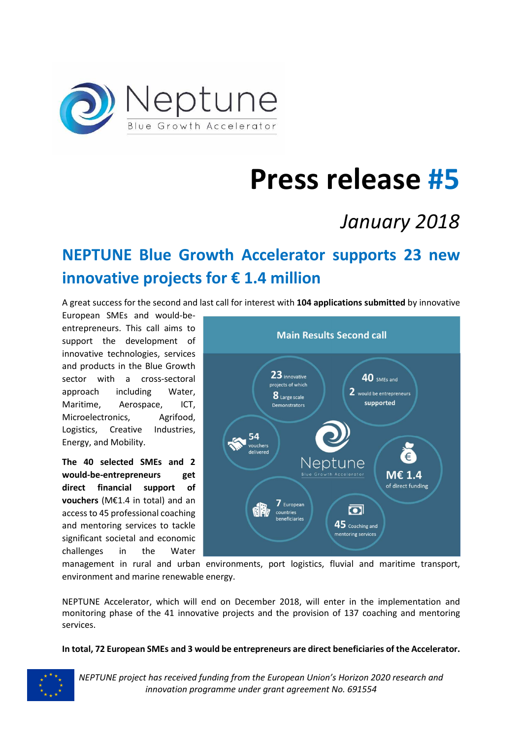

# **Press release #5**

# *January 2018*

# **NEPTUNE Blue Growth Accelerator supports 23 new innovative projects for € 1.4 million**

A great success for the second and last call for interest with **104 applications submitted** by innovative

European SMEs and would-beentrepreneurs. This call aims to support the development of innovative technologies, services and products in the Blue Growth sector with a cross-sectoral approach including Water, Maritime, Aerospace, ICT, Microelectronics, Agrifood, Logistics, Creative Industries, Energy, and Mobility.

**The 40 selected SMEs and 2 would-be-entrepreneurs get direct financial support of vouchers** (M€1.4 in total) and an access to 45 professional coaching and mentoring services to tackle significant societal and economic challenges in the Water



management in rural and urban environments, port logistics, fluvial and maritime transport, environment and marine renewable energy.

NEPTUNE Accelerator, which will end on December 2018, will enter in the implementation and monitoring phase of the 41 innovative projects and the provision of 137 coaching and mentoring services.

**In total, 72 European SMEs and 3 would be entrepreneurs are direct beneficiaries of the Accelerator.** 



*NEPTUNE project has received funding from the European Union's Horizon 2020 research and innovation programme under grant agreement No. 691554*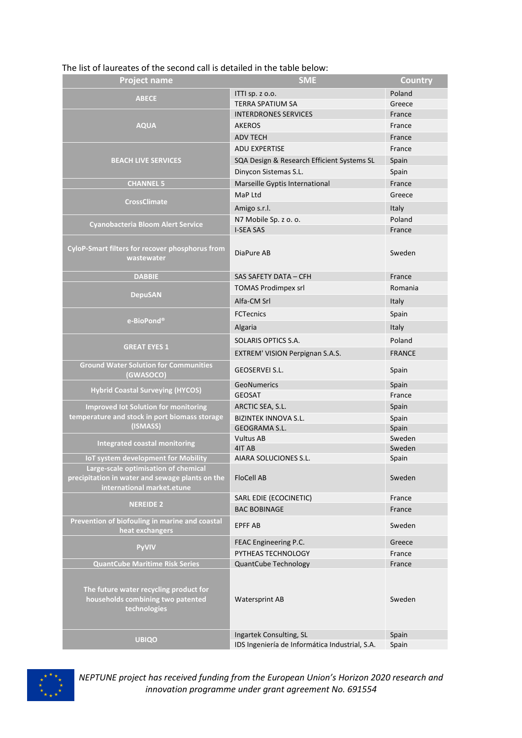| <b>Project name</b>                                                                         | <b>SME</b>                                     | Country          |
|---------------------------------------------------------------------------------------------|------------------------------------------------|------------------|
| <b>ABECE</b>                                                                                | ITTI sp. z o.o.                                | Poland           |
|                                                                                             | <b>TERRA SPATIUM SA</b>                        | Greece           |
| <b>AQUA</b>                                                                                 | <b>INTERDRONES SERVICES</b>                    | France           |
|                                                                                             | <b>AKEROS</b>                                  | France           |
|                                                                                             | <b>ADV TECH</b>                                | France           |
| <b>BEACH LIVE SERVICES</b>                                                                  | <b>ADU EXPERTISE</b>                           | France           |
|                                                                                             | SQA Design & Research Efficient Systems SL     | Spain            |
|                                                                                             | Dinycon Sistemas S.L.                          | Spain            |
| <b>CHANNEL 5</b>                                                                            | Marseille Gyptis International                 | France           |
| <b>CrossClimate</b>                                                                         | MaP Ltd                                        | Greece           |
|                                                                                             | Amigo s.r.l.                                   | Italy            |
|                                                                                             | N7 Mobile Sp. z o. o.                          | Poland           |
| <b>Cyanobacteria Bloom Alert Service</b>                                                    | <b>I-SEA SAS</b>                               | France           |
| <b>CyloP-Smart filters for recover phosphorus from</b><br>wastewater                        | DiaPure AB                                     | Sweden           |
| <b>DABBIE</b>                                                                               | SAS SAFETY DATA - CFH                          | France           |
| <b>DepuSAN</b>                                                                              | <b>TOMAS Prodimpex srl</b>                     | Romania          |
|                                                                                             | Alfa-CM Srl                                    | Italy            |
| e-BioPond®                                                                                  | <b>FCTecnics</b>                               | Spain            |
|                                                                                             | Algaria                                        | Italy            |
| <b>GREAT EYES 1</b>                                                                         | SOLARIS OPTICS S.A.                            | Poland           |
|                                                                                             | EXTREM' VISION Perpignan S.A.S.                | <b>FRANCE</b>    |
| <b>Ground Water Solution for Communities</b><br>(GWASOCO)                                   | GEOSERVEI S.L.                                 | Spain            |
| <b>Hybrid Coastal Surveying (HYCOS)</b>                                                     | <b>GeoNumerics</b>                             | Spain            |
|                                                                                             | <b>GEOSAT</b>                                  | France           |
| <b>Improved lot Solution for monitoring</b>                                                 | ARCTIC SEA, S.L.                               | Spain            |
| temperature and stock in port biomass storage<br>(ISMASS)                                   | <b>BIZINTEK INNOVA S.L.</b>                    | Spain            |
|                                                                                             | <b>GEOGRAMA S.L.</b>                           | Spain            |
| <b>Integrated coastal monitoring</b>                                                        | <b>Vultus AB</b><br>4IT AB                     | Sweden<br>Sweden |
| IoT system development for Mobility                                                         | AIARA SOLUCIONES S.L.                          | Spain            |
| Large-scale optimisation of chemical                                                        |                                                |                  |
| precipitation in water and sewage plants on the<br>international market.etune               | <b>FloCell AB</b>                              | Sweden           |
|                                                                                             | SARL EDIE (ECOCINETIC)                         | France           |
| <b>NEREIDE 2</b>                                                                            | <b>BAC BOBINAGE</b>                            | France           |
| Prevention of biofouling in marine and coastal<br>heat exchangers                           | <b>EPFF AB</b>                                 | Sweden           |
| <b>PyVIV</b>                                                                                | FEAC Engineering P.C.                          | Greece           |
|                                                                                             | PYTHEAS TECHNOLOGY                             | France           |
| <b>QuantCube Maritime Risk Series</b>                                                       | <b>QuantCube Technology</b>                    | France           |
| The future water recycling product for<br>households combining two patented<br>technologies | Watersprint AB                                 | Sweden           |
| <b>UBIQO</b>                                                                                | Ingartek Consulting, SL                        | Spain            |
|                                                                                             | IDS Ingeniería de Informática Industrial, S.A. | Spain            |

#### The list of laureates of the second call is detailed in the table below:



*NEPTUNE project has received funding from the European Union's Horizon 2020 research and innovation programme under grant agreement No. 691554*